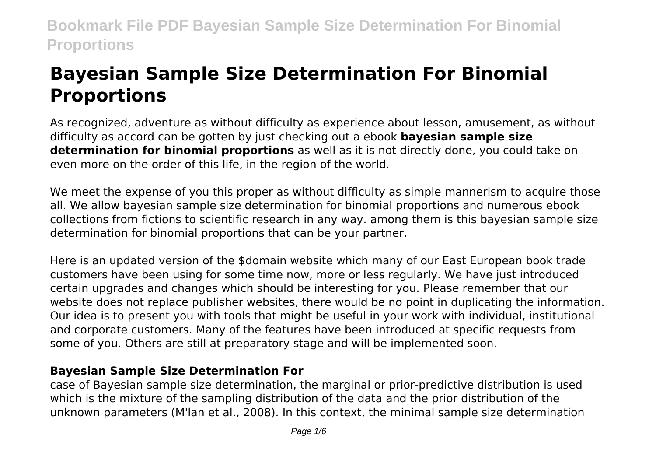# **Bayesian Sample Size Determination For Binomial Proportions**

As recognized, adventure as without difficulty as experience about lesson, amusement, as without difficulty as accord can be gotten by just checking out a ebook **bayesian sample size determination for binomial proportions** as well as it is not directly done, you could take on even more on the order of this life, in the region of the world.

We meet the expense of you this proper as without difficulty as simple mannerism to acquire those all. We allow bayesian sample size determination for binomial proportions and numerous ebook collections from fictions to scientific research in any way. among them is this bayesian sample size determination for binomial proportions that can be your partner.

Here is an updated version of the \$domain website which many of our East European book trade customers have been using for some time now, more or less regularly. We have just introduced certain upgrades and changes which should be interesting for you. Please remember that our website does not replace publisher websites, there would be no point in duplicating the information. Our idea is to present you with tools that might be useful in your work with individual, institutional and corporate customers. Many of the features have been introduced at specific requests from some of you. Others are still at preparatory stage and will be implemented soon.

### **Bayesian Sample Size Determination For**

case of Bayesian sample size determination, the marginal or prior-predictive distribution is used which is the mixture of the sampling distribution of the data and the prior distribution of the unknown parameters (M'lan et al., 2008). In this context, the minimal sample size determination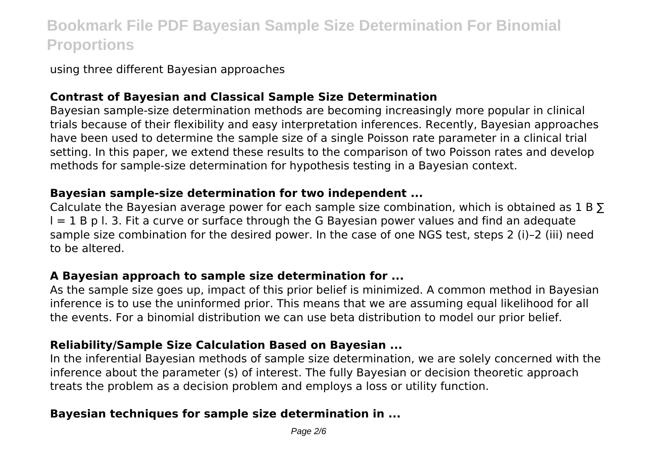using three different Bayesian approaches

### **Contrast of Bayesian and Classical Sample Size Determination**

Bayesian sample-size determination methods are becoming increasingly more popular in clinical trials because of their flexibility and easy interpretation inferences. Recently, Bayesian approaches have been used to determine the sample size of a single Poisson rate parameter in a clinical trial setting. In this paper, we extend these results to the comparison of two Poisson rates and develop methods for sample-size determination for hypothesis testing in a Bayesian context.

### **Bayesian sample-size determination for two independent ...**

Calculate the Bayesian average power for each sample size combination, which is obtained as  $1 B \Sigma$  $I = 1$  B p l. 3. Fit a curve or surface through the G Bayesian power values and find an adequate sample size combination for the desired power. In the case of one NGS test, steps 2 (i)–2 (iii) need to be altered.

### **A Bayesian approach to sample size determination for ...**

As the sample size goes up, impact of this prior belief is minimized. A common method in Bayesian inference is to use the uninformed prior. This means that we are assuming equal likelihood for all the events. For a binomial distribution we can use beta distribution to model our prior belief.

### **Reliability/Sample Size Calculation Based on Bayesian ...**

In the inferential Bayesian methods of sample size determination, we are solely concerned with the inference about the parameter (s) of interest. The fully Bayesian or decision theoretic approach treats the problem as a decision problem and employs a loss or utility function.

### **Bayesian techniques for sample size determination in ...**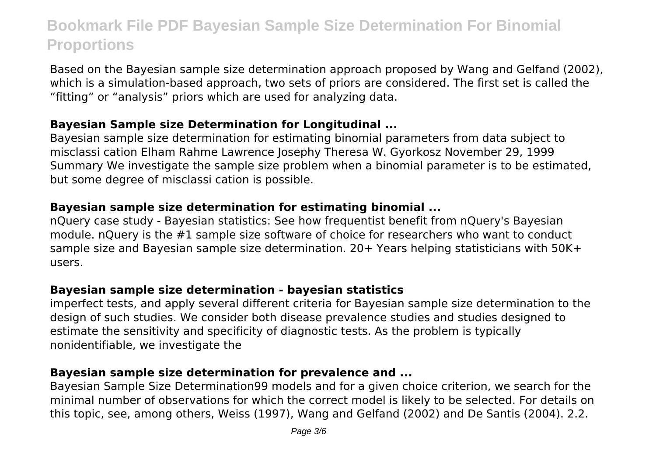Based on the Bayesian sample size determination approach proposed by Wang and Gelfand (2002), which is a simulation-based approach, two sets of priors are considered. The first set is called the "fitting" or "analysis" priors which are used for analyzing data.

### **Bayesian Sample size Determination for Longitudinal ...**

Bayesian sample size determination for estimating binomial parameters from data subject to misclassi cation Elham Rahme Lawrence Josephy Theresa W. Gyorkosz November 29, 1999 Summary We investigate the sample size problem when a binomial parameter is to be estimated, but some degree of misclassi cation is possible.

### **Bayesian sample size determination for estimating binomial ...**

nQuery case study - Bayesian statistics: See how frequentist benefit from nQuery's Bayesian module. nQuery is the #1 sample size software of choice for researchers who want to conduct sample size and Bayesian sample size determination. 20+ Years helping statisticians with 50K+ users.

### **Bayesian sample size determination - bayesian statistics**

imperfect tests, and apply several different criteria for Bayesian sample size determination to the design of such studies. We consider both disease prevalence studies and studies designed to estimate the sensitivity and specificity of diagnostic tests. As the problem is typically nonidentifiable, we investigate the

### **Bayesian sample size determination for prevalence and ...**

Bayesian Sample Size Determination99 models and for a given choice criterion, we search for the minimal number of observations for which the correct model is likely to be selected. For details on this topic, see, among others, Weiss (1997), Wang and Gelfand (2002) and De Santis (2004). 2.2.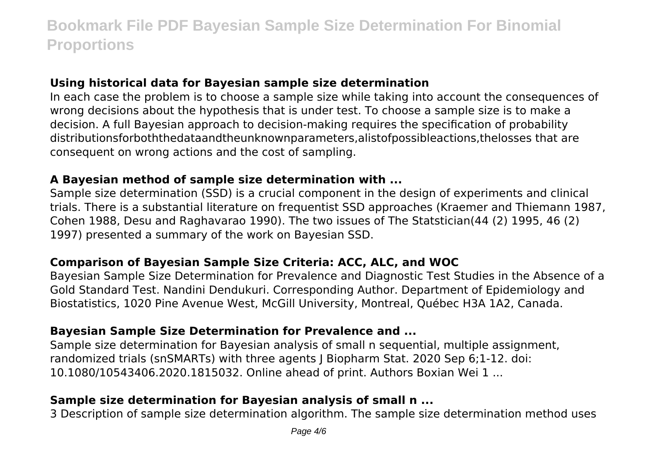### **Using historical data for Bayesian sample size determination**

In each case the problem is to choose a sample size while taking into account the consequences of wrong decisions about the hypothesis that is under test. To choose a sample size is to make a decision. A full Bayesian approach to decision-making requires the specification of probability distributionsforboththedataandtheunknownparameters,alistofpossibleactions,thelosses that are consequent on wrong actions and the cost of sampling.

#### **A Bayesian method of sample size determination with ...**

Sample size determination (SSD) is a crucial component in the design of experiments and clinical trials. There is a substantial literature on frequentist SSD approaches (Kraemer and Thiemann 1987, Cohen 1988, Desu and Raghavarao 1990). The two issues of The Statstician(44 (2) 1995, 46 (2) 1997) presented a summary of the work on Bayesian SSD.

### **Comparison of Bayesian Sample Size Criteria: ACC, ALC, and WOC**

Bayesian Sample Size Determination for Prevalence and Diagnostic Test Studies in the Absence of a Gold Standard Test. Nandini Dendukuri. Corresponding Author. Department of Epidemiology and Biostatistics, 1020 Pine Avenue West, McGill University, Montreal, Québec H3A 1A2, Canada.

### **Bayesian Sample Size Determination for Prevalence and ...**

Sample size determination for Bayesian analysis of small n sequential, multiple assignment, randomized trials (snSMARTs) with three agents J Biopharm Stat. 2020 Sep 6;1-12. doi: 10.1080/10543406.2020.1815032. Online ahead of print. Authors Boxian Wei 1 ...

### **Sample size determination for Bayesian analysis of small n ...**

3 Description of sample size determination algorithm. The sample size determination method uses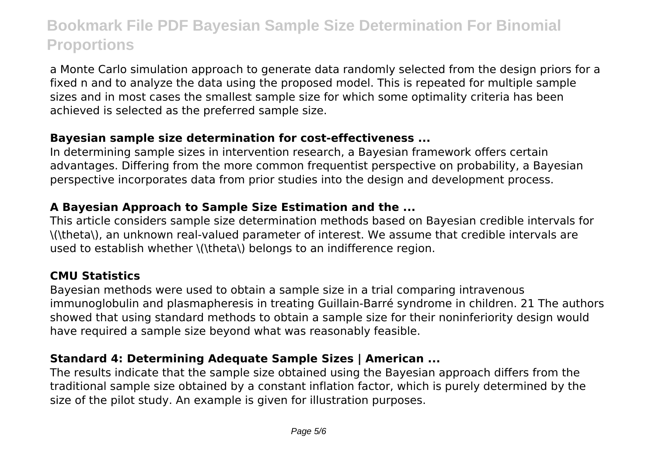a Monte Carlo simulation approach to generate data randomly selected from the design priors for a fixed n and to analyze the data using the proposed model. This is repeated for multiple sample sizes and in most cases the smallest sample size for which some optimality criteria has been achieved is selected as the preferred sample size.

### **Bayesian sample size determination for cost-effectiveness ...**

In determining sample sizes in intervention research, a Bayesian framework offers certain advantages. Differing from the more common frequentist perspective on probability, a Bayesian perspective incorporates data from prior studies into the design and development process.

### **A Bayesian Approach to Sample Size Estimation and the ...**

This article considers sample size determination methods based on Bayesian credible intervals for \(\theta\), an unknown real-valued parameter of interest. We assume that credible intervals are used to establish whether \(\theta\) belongs to an indifference region.

### **CMU Statistics**

Bayesian methods were used to obtain a sample size in a trial comparing intravenous immunoglobulin and plasmapheresis in treating Guillain-Barré syndrome in children. 21 The authors showed that using standard methods to obtain a sample size for their noninferiority design would have required a sample size beyond what was reasonably feasible.

### **Standard 4: Determining Adequate Sample Sizes | American ...**

The results indicate that the sample size obtained using the Bayesian approach differs from the traditional sample size obtained by a constant inflation factor, which is purely determined by the size of the pilot study. An example is given for illustration purposes.